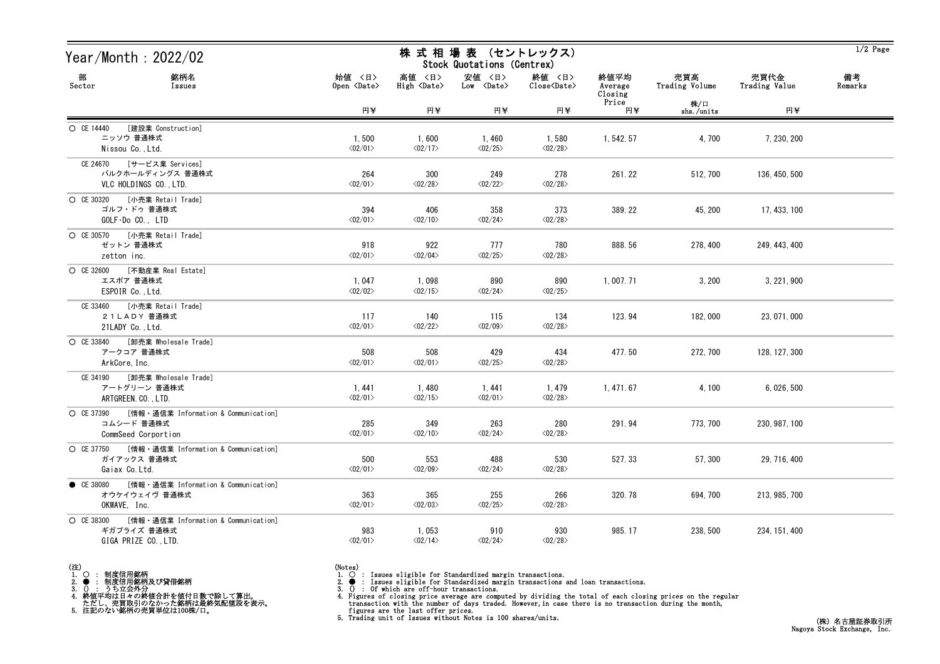| Year/Month : 2022/02                                                                        | 株 式 相 場 表 (セントレックス)<br>Stock Quotations (Centrex) |                                  |                                      |                                   |                            |                       |                       | $1/2$ Page    |
|---------------------------------------------------------------------------------------------|---------------------------------------------------|----------------------------------|--------------------------------------|-----------------------------------|----------------------------|-----------------------|-----------------------|---------------|
| 部<br>銘柄名<br>Sector<br>Issues                                                                | 始値 〈日〉<br>Open <date></date>                      | 高値 〈日〉<br>High <date></date>     | 安値 〈日〉<br>$Low \langle Date \rangle$ | 終値 〈日〉<br>Close <date></date>     | 終値平均<br>Average<br>Closing | 売買高<br>Trading Volume | 売買代金<br>Trading Value | 備考<br>Remarks |
|                                                                                             | 円半                                                | 円半                               | 円半                                   | 円半                                | Price<br>円半                | 株/口<br>shs./units     | 円半                    |               |
| [建設業 Construction]<br>O CE 14440<br>ニッソウ 普通株式<br>Nissou Co., Ltd.                           | 1,500<br>$\langle 02/01 \rangle$                  | 1,600<br>$\langle 02/17 \rangle$ | 1,460<br>$\langle 02/25 \rangle$     | 1,580<br>$\langle 02/28 \rangle$  | 1, 542. 57                 | 4,700                 | 7, 230, 200           |               |
| CE 24670 [サービス業 Services]<br>バルクホールディングス 普通株式<br>VLC HOLDINGS CO., LTD.                     | 264<br>$\langle 02/01 \rangle$                    | 300<br>$\langle 02/28 \rangle$   | 249<br>$\langle 02/22 \rangle$       | 278<br>$\langle 02/28 \rangle$    | 261.22                     | 512, 700              | 136, 450, 500         |               |
| [小売業 Retail Trade]<br>O CE 30320<br>ゴルフ・ドゥ 普通株式<br>$GOLF\cdot DoCO.$ , $LTD$                | 394<br>$\langle 02/01 \rangle$                    | 406<br>$\langle 02/10 \rangle$   | 358<br>$\langle 02/24 \rangle$       | 373<br>$\langle 02/28 \rangle$    | 389.22                     | 45, 200               | 17, 433, 100          |               |
| ○ CE 30570 [小売業 Retail Trade]<br>ゼットン 普通株式<br>zetton inc.                                   | 918<br>$\langle 02/01 \rangle$                    | 922<br>$\langle 02/04 \rangle$   | 777<br>$\langle 02/25 \rangle$       | 780<br>$\langle 02/28 \rangle$    | 888.56                     | 278, 400              | 249, 443, 400         |               |
| [不動産業 Real Estate]<br>O CE 32600<br>エスポア 普通株式<br>ESPOIR Co., Ltd.                           | 1,047<br>$\langle 02/02 \rangle$                  | 1,098<br>$\langle 02/15 \rangle$ | 890<br>$\langle 02/24 \rangle$       | 890<br>$\langle 02/25 \rangle$    | 1, 007. 71                 | 3,200                 | 3, 221, 900           |               |
| [小売業 Retail Trade]<br>CE 33460<br>21LADY 普通株式<br>21LADY Co., Ltd.                           | 117<br>$\langle 02/01 \rangle$                    | 140<br>$\langle 02/22 \rangle$   | 115<br>$\langle 02/09 \rangle$       | 134<br>$\langle 02/28 \rangle$    | 123.94                     | 182,000               | 23, 071, 000          |               |
| ○ CE 33840 [卸売業 Wholesale Trade]<br>アークコア 普通株式<br>ArkCore, Inc.                             | 508<br>$\langle 02/01 \rangle$                    | 508<br>$\langle 02/01 \rangle$   | 429<br>$\langle 02/25 \rangle$       | 434<br>$\langle 02/28 \rangle$    | 477.50                     | 272, 700              | 128, 127, 300         |               |
| [卸売業 Wholesale Trade]<br>CE 34190<br>アートグリーン 普通株式<br>ARTGREEN. CO., LTD.                    | 1, 441<br>$\langle 02/01 \rangle$                 | 1,480<br>$\langle 02/15 \rangle$ | 1, 441<br>$\langle 02/01 \rangle$    | 1, 479<br>$\langle 02/28 \rangle$ | 1, 471. 67                 | 4, 100                | 6, 026, 500           |               |
| [情報・通信業 Information & Communication]<br>O CE 37390<br>コムシード 普通株式<br>CommSeed Corportion     | 285<br>$\langle 02/01 \rangle$                    | 349<br>$\langle 02/10 \rangle$   | 263<br>$\langle 02/24 \rangle$       | 280<br>$\langle 02/28 \rangle$    | 291.94                     | 773, 700              | 230, 987, 100         |               |
| ○ CE 37750 [情報 · 通信業 Information & Communication]<br>ガイアックス 普通株式<br>Gaiax Co. Ltd.          | 500<br>$\langle 02/01 \rangle$                    | 553<br>$\langle 02/09 \rangle$   | 488<br>$\langle 02/24 \rangle$       | 530<br>$\langle 02/28 \rangle$    | 527.33                     | 57,300                | 29, 716, 400          |               |
| [情報・通信業 Information & Communication]<br>$\bullet$ CE 38080<br>オウケイウェイヴ 普通株式<br>OKWAVE, Inc. | 363<br>$\langle 02/01 \rangle$                    | 365<br>$\langle 02/03 \rangle$   | 255<br>$\langle 02/25 \rangle$       | 266<br>$\langle 02/28 \rangle$    | 320.78                     | 694, 700              | 213, 985, 700         |               |
| O CE 38300<br>[情報・通信業 Information & Communication]<br>ギガプライズ 普通株式<br>GIGA PRIZE CO., LTD.   | 983<br>$\langle 02/01 \rangle$                    | 1,053<br>$\langle 02/14 \rangle$ | 910<br>$\langle 02/24 \rangle$       | 930<br>$\langle 02/28 \rangle$    | 985.17                     | 238, 500              | 234, 151, 400         |               |

- (注)<br>1. ○<br>2. ●<br>3. ① 1. ○ : 制度信用銘柄
- 
- 
- 2. : 制度信用銘柄及び貸借銘柄<br>3. () : うち立会外分<br>4. 終値平均は日々の終値合計を値付日数で除して算出。<br>ただし、売買取引のなかった銘柄は最終気配値段を表示。<br>5. 注記のない銘柄の売買単位は100株/口。
- 
- 
- (Notes)<br>1. : Issues eligible for Standardized margin transactions.
- 

2. ● : Issues eligible for Standardized margin transactions and loan transactions.<br>3. () : Of which are off-hour transactions.<br>4. Figures of closing prices on the regular transaction with the number of days traded. Howev